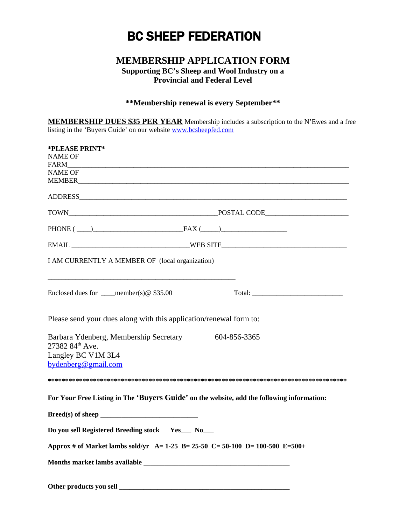# BC SHEEP FEDERATION

## **MEMBERSHIP APPLICATION FORM**

#### **Supporting BC's Sheep and Wool Industry on a Provincial and Federal Level**

### **\*\*Membership renewal is every September\*\***

**MEMBERSHIP DUES \$35 PER YEAR** Membership includes a subscription to the N'Ewes and a free listing in the 'Buyers Guide' on our website [www.bcsheepfed.com](http://www.bcsheepfed.com/) 

| *PLEASE PRINT*                                                                                                                                                                                                                |              |  |  |
|-------------------------------------------------------------------------------------------------------------------------------------------------------------------------------------------------------------------------------|--------------|--|--|
| NAME OF                                                                                                                                                                                                                       |              |  |  |
| FARM                                                                                                                                                                                                                          |              |  |  |
| <b>NAME OF</b>                                                                                                                                                                                                                |              |  |  |
| MEMBER <b>Example 2018</b>                                                                                                                                                                                                    |              |  |  |
| ADDRESS AND ARREST AND A RESIDENCE AND A RESIDENCE OF A REPORT OF A REPORT OF A REPORT OF A REPORT OF A REPORT OF A REPORT OF A REPORT OF A REPORT OF A REPORT OF A REPORT OF A REPORT OF A REPORT OF A REPORT OF A REPORT OF |              |  |  |
|                                                                                                                                                                                                                               |              |  |  |
| PHONE $(\_\_)$ FAX $(\_\_)$                                                                                                                                                                                                   |              |  |  |
|                                                                                                                                                                                                                               |              |  |  |
| I AM CURRENTLY A MEMBER OF (local organization)                                                                                                                                                                               |              |  |  |
| Enclosed dues for ____member(s) $@$ \$35.00                                                                                                                                                                                   |              |  |  |
| Please send your dues along with this application/renewal form to:                                                                                                                                                            |              |  |  |
| Barbara Ydenberg, Membership Secretary<br>27382 84th Ave.<br>Langley BC V1M 3L4<br>bydenberg@gmail.com                                                                                                                        | 604-856-3365 |  |  |
|                                                                                                                                                                                                                               |              |  |  |
| For Your Free Listing in The 'Buyers Guide' on the website, add the following information:<br>Do you sell Registered Breeding stock Yes_ No_<br>Approx # of Market lambs sold/yr A= 1-25 B= 25-50 C= 50-100 D= 100-500 E=500+ |              |  |  |
|                                                                                                                                                                                                                               |              |  |  |